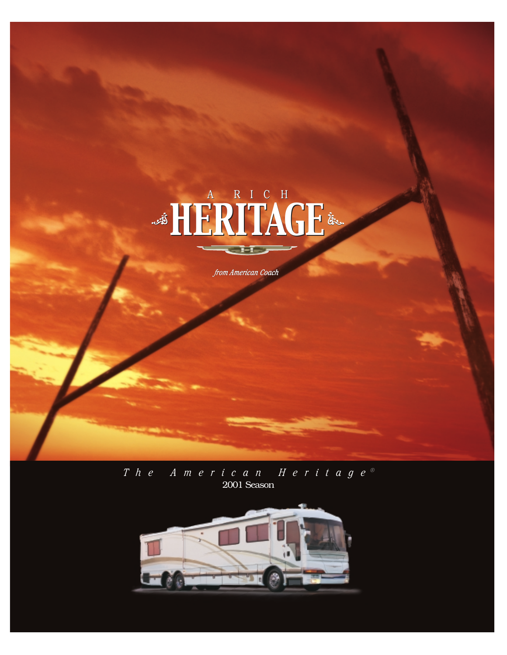

*The American Heritage ®* 2001 Season

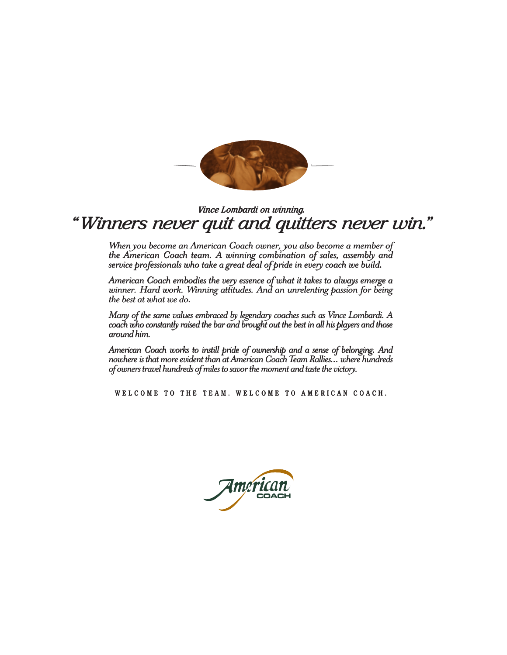

# *"Winners never quit and quitters never win." "Winners never quit and never win." Vince Lombardi on*

*When you become an American Coach owner, you also become a member of When you become an American Coach owner, you also become a member of the American Coach team. A winning combination of sales, assembly and service professionals who take a great deal of pride in every coach we build. the team. combination sales, assembly service professionals who take a great deal of pride in every coach we build.* Vince Lombardi on winning.<br> **NETS NEVET GUIT AND GUITTETS NEVET**<br>
Then you become an American Coach owner, you also become a member<br>
ie American Coach team. A winning combination of sales, assembly are<br>
vince professionals

*American Coach embodies the very essence of what it takes to always emerge a American Coach embodies the very essence of what it takes to always emerge a* winner. Hard work. Winning attitudes. And an unrelenting passion for being<br>the best at what we do. *the best at what we do.*

*Many of the same values embraced by legendary coaches such as Vince Lombardi. A Vince coach who constantly raised the bar and brought out the best in all his players and those coach who constantly raised the bar and brought out the best in all his players and thosearound him. around him.*

*American Coach works to instill pride of ownership and a sense of belonging. And Coach works instill ownership of*  nowhere is that more evident than at American Coach Team Rallies... where hundreds<br>of owners travel hundreds of miles to savor the moment and taste the victory. *of owners travel hundreds of miles to savor the moment and taste the victory.*

WELCOME TO THE TEAM. WELCOME TO AMERICAN COACH.

**COACH**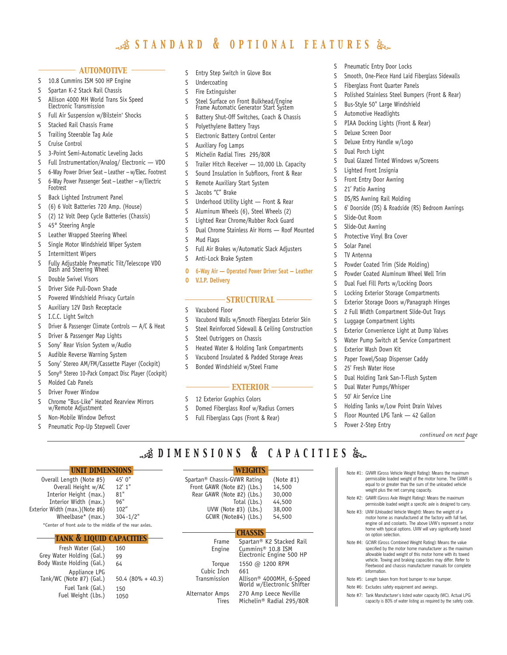# *standard & optional features*

#### *automotive*

- S 10.8 Cummins ISM 500 HP Engine
- S Spartan K-2 Stack Rail Chassis
- S Allison 4000 MH World Trans Six Speed Electronic Transmission
- S Full Air Suspension w/Bilstein® Shocks
- S Stacked Rail Chassis Frame
- S Trailing Steerable Tag Axle
- S Cruise Control
- S 3-Point Semi-Automatic Leveling Jacks
- S Full Instrumentation/Analog/ Electronic VDO
- S 6-Way Power Driver Seat Leather w/Elec. Footrest S 6-Way Power Passenger Seat — Leather — w/Electric Footrest
- S Back Lighted Instrument Panel
- S (6) 6 Volt Batteries 720 Amp. (House)
- S (2) 12 Volt Deep Cycle Batteries (Chassis)
- S 45° Steering Angle
- S Leather Wrapped Steering Wheel
- S Single Motor Windshield Wiper System
- S Intermittent Wipers
- S Fully Adjustable Pneumatic Tilt/Telescope VDO Dash and Steering Wheel
- S Double Swivel Visors
- S Driver Side Pull-Down Shade
- S Powered Windshield Privacy Curtain
- S Auxiliary 12V Dash Receptacle
- S I.C.C. Light Switch
- S Driver & Passenger Climate Controls A/C & Heat
- S Driver & Passenger Map Lights
- S Sony® Rear Vision System w/Audio
- S Audible Reverse Warning System
- S Sony® Stereo AM/FM/Cassette Player (Cockpit)
- S Sony® Stereo 10-Pack Compact Disc Player (Cockpit)
- S Molded Cab Panels
- S Driver Power Window
- S Chrome "Bus-Like" Heated Rearview Mirrors w/Remote Adjustment

*unit dimensions*

45' 0" 12' 1" 81" 96" 102" 304-1/2"

160 99 64

150 1050

50.4 (80% + 40.3)

*tank & liquid capacities*

\*Center of front axle to the middle of the rear axles.

Fresh Water (Gal.) Grey Water Holding (Gal.) Body Waste Holding (Gal.)

Appliance LPG Tank/WC (Note #7) (Gal.) Fuel Tank (Gal.) Fuel Weight (Lbs.)

S Non-Mobile Window Defrost

Overall Length (Note #5) Overall Height w/AC Interior Height (max.) Interior Width (max.) Exterior Width (max.)(Note #6) Wheelbase\* (max.)

S Pneumatic Pop-Up Stepwell Cover

- S Entry Step Switch in Glove Box
- S Undercoating
- S Fire Extinguisher
- S Steel Surface on Front Bulkhead/Engine Frame Automatic Generator Start System
- S Battery Shut-Off Switches, Coach & Chassis
- S Polyethylene Battery Trays
- S Electronic Battery Control Center
- S Auxiliary Fog Lamps
- S Michelin Radial Tires 295/80R
- S Trailer Hitch Receiver 10,000 Lb. Capacity
- S Sound Insulation in Subfloors, Front & Rear
- S Remote Auxiliary Start System
- S Jacobs "C" Brake
- S Underhood Utility Light Front & Rear
- S Aluminum Wheels (6), Steel Wheels (2)
- S Lighted Rear Chrome/Rubber Rock Guard
- S Dual Chrome Stainless Air Horns Roof Mounted
- S Mud Flaps
- S Full Air Brakes w/Automatic Slack Adjusters
- S Anti-Lock Brake System
- **O 6-Way Air Operated Power Driver Seat — Leather O V.I.P. Delivery**

## *structural*

- S Vacubond Floor
- S Vacubond Walls w/Smooth Fiberglass Exterior Skin
- S Steel Reinforced Sidewall & Ceiling Construction
- S Steel Outriggers on Chassis
- S Heated Water & Holding Tank Compartments
- S Vacubond Insulated & Padded Storage Areas
- S Bonded Windshield w/Steel Frame

### *exterior*

*dimensions & capacities*

*weights*

(Note #1) 14,500 30,000 44,500 38,000 54,500

Total (Lbs.) UVW (Note #3) (Lbs.) GCWR (Note#4) (Lbs.)

*chassis*

661

Spartan® K2 Stacked Rail Cummins® 10.8 ISM Electronic Engine 500 HP 1550 @ 1200 RPM

Allison® 4000MH, 6-Speed World w/Electronic Shifter 270 Amp Leece Neville Michelin® Radial 295/80R

S 12 Exterior Graphics Colors

Spartan® Chassis-GVWR Rating Front GAWR (Note #2) (Lbs.) Rear GAWR (Note #2) (Lbs.)

Frame Engine Torque Cubic Inch Transmission Alternator Amps Tires

- S Domed Fiberglass Roof w/Radius Corners
- S Full Fiberglass Caps (Front & Rear)
- S Pneumatic Entry Door Locks
- S Smooth, One-Piece Hand Laid Fiberglass Sidewalls
- S Fiberglass Front Quarter Panels
- S Polished Stainless Steel Bumpers (Front & Rear)
- S Bus-Style 50" Large Windshield
- S Automotive Headlights
- S PIAA Docking Lights (Front & Rear)
- S Deluxe Screen Door
- S Deluxe Entry Handle w/Logo
- S Dual Porch Light
- S Dual Glazed Tinted Windows w/Screens
- S Lighted Front Insignia
- S Front Entry Door Awning
- S 21' Patio Awning
- S DS/RS Awning Rail Molding
- S 6' Doorside (DS) & Roadside (RS) Bedroom Awnings
- S Slide-Out Room
- S Slide-Out Awning
- S Protective Vinyl Bra Cover
- S Solar Panel
- S TV Antenna
- S Powder Coated Trim (Side Molding)
- S Powder Coated Aluminum Wheel Well Trim
- S Dual Fuel Fill Ports w/Locking Doors
- S Locking Exterior Storage Compartments
- S Exterior Storage Doors w/Panagraph Hinges
- S 2 Full Width Compartment Slide-Out Trays
- S Luggage Compartment Lights
- S Exterior Convenience Light at Dump Valves
- S Water Pump Switch at Service Compartment

S Paper Towel/Soap Dispenser Caddy

S Dual Holding Tank San-T-Flush System

S Holding Tanks w/Low Point Drain Valves S Floor Mounted LPG Tank — 42 Gallon

> Note #1: GVWR (Gross Vehicle Weight Rating): Means the maximum permissible loaded weight of the motor home. The GVWR is equal to or greater than the sum of the unloaded vehicle

> Note #4: GCWR (Gross Combined Weight Rating): Means the value specified by the motor home manufacturer as the maximum allowable loaded weight of this motor home with its towed vehicle. Towing and braking capacities may differ. Refer to Fleetwood and chassis manufacturer manuals for complete

> Note #7: Tank Manufacturer's listed water capacity (WC). Actual LPG capacity is 80% of water listing as required by the safety code.

Note #5: Length taken from front bumper to rear bumper. Note #6: Excludes safety equipment and awnings.

weight plus the net carrying capacity. Note #2: GAWR (Gross Axle Weight Rating): Means the maximum permissible loaded weight a specific axle is designed to carry. Note #3: UVW (Unloaded Vehicle Weight): Means the weight of a motor home as manufactured at the factory with full fuel, engine oil and coolants. The above UVW's represent a motor home with typical options. UVW will vary significantly based

on option selection.

information.

*continued on next page*

S Exterior Wash Down Kit

S 25' Fresh Water Hose

S Power 2-Step Entry

S Dual Water Pumps/Whisper S 50' Air Service Line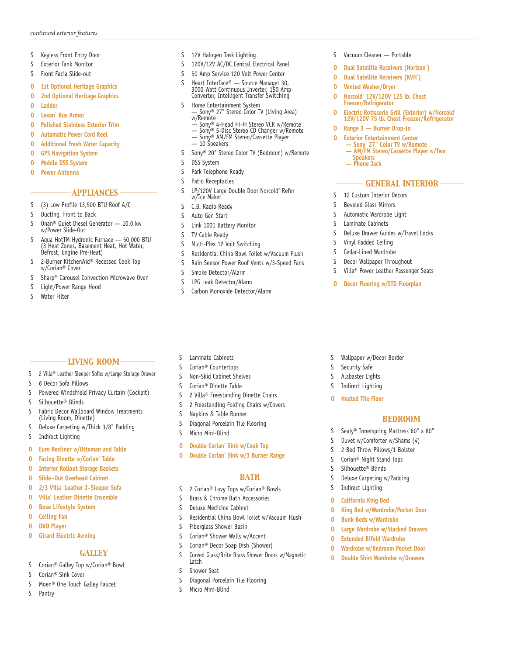- S Keyless Front Entry Door
- S Exterior Tank Monitor
- S Front Facia Slide-out
- **O 1st Optional Heritage Graphics**
- **O 2nd Optional Heritage Graphics**
- **O Ladder**
- **O Lexan® Bus Armor**
- **O Polished Stainless Exterior Trim**
- **O Automatic Power Cord Reel**
- **O Additional Fresh Water Capacity**
- **O GPS Navigation System**
- **O Mobile DSS System**
- **O Power Antenna**

## *appliances*

- S (3) Low Profile 13,500 BTU Roof A/C
- S Ducting, Front to Back
- S Onan® Quiet Diesel Generator 10.0 kw w/Power Slide-Out
- S Aqua HotTM Hydronic Furnace 50,000 BTU (3 Heat Zones, Basement Heat, Hot Water, Defrost, Engine Pre-Heat)
- S 2-Burner KitchenAid® Recessed Cook Top w/Corian® Cover
- S Sharp® Carousel Convection Microwave Oven

*living room* S 2 Villa® Leather Sleeper Sofas w/Large Storage Drawer

S Powered Windshield Privacy Curtain (Cockpit)

S Fabric Decor Wallboard Window Treatments

S Deluxe Carpeting w/Thick 3/8" Padding

**O Euro Recliner w/Ottoman and Table O Facing Dinette w/Corian® Table O Interior Rollout Storage Baskets O Slide-Out Overhead Cabinet O 2/3 Villa® Leather J-Sleeper Sofa O Villa® Leather Dinette Ensemble O Bose Lifestyle System**

- S Light/Power Range Hood
- S Water Filter

S 6 Decor Sofa Pillows

S Silhouette® Blinds

S Indirect Lighting

**O Ceiling Fan O DVD Player**

**O Girard Electric Awning**

S Corian® Sink Cover

S Pantry

- **GALLEY**-

S Corian® Galley Top w/Corian® Bowl

S Moen® One Touch Galley Faucet

(Living Room, Dinette)

# S 12V Halogen Task Lighting

- S 120V/12V AC/DC Central Electrical Panel
- S 50 Amp Service 120 Volt Power Center
- S Heart Interface® Source Manager 30, 3000 Watt Continuous Inverter, 150 Amp Converter, Intelligent Transfer Switching
- 
- S Home Entertainment System Sony® 27" Stereo Color TV (Living Area) w/Remote
	- Sony® 4-Head Hi-Fi Stereo VCR w/Remote
	- Sony® 5-Disc Stereo CD Changer w/Remote Sony® AM/FM Stereo/Cassette Player
	- $-$  10 Speakers
- S Sony® 20" Stereo Color TV (Bedroom) w/Remote
- S DSS System
- S Park Telephone Ready
- S Patio Receptacles
- S LP/120V Large Double Door Norcold® Refer w/Ice Maker
- S C.B. Radio Ready
- S Auto Gen Start
- S Link 1001 Battery Monitor
- S TV Cable Ready
- S Multi-Plex 12 Volt Switching
- S Residential China Bowl Toilet w/Vacuum Flush
- S Rain Sensor Power Roof Vents w/3-Speed Fans
- S Smoke Detector/Alarm
- S LPG Leak Detector/Alarm
- S Carbon Monoxide Detector/Alarm
- S Laminate Cabinets
- S Corian® Countertops
- S Non-Skid Cabinet Shelves
- S Corian® Dinette Table
- S 2 Villa® Freestanding Dinette Chairs
- S 2 Freestanding Folding Chairs w/Covers
- S Napkins & Table Runner
- S Diagonal Porcelain Tile Flooring
- S Micro Mini-Blind
- **O Double Corian® Sink w/Cook Top**
- **O Double Corian® Sink w/3 Burner Range**

## *bath*

- S 2 Corian® Lavy Tops w/Corian® Bowls
- S Brass & Chrome Bath Accessories
- S Deluxe Medicine Cabinet
- S Residential China Bowl Toilet w/Vacuum Flush
- S Fiberglass Shower Basin
- S Corian® Shower Walls w/Accent
- S Corian® Decor Soap Dish (Shower)
- S Curved Glass/Brite Brass Shower Doors w/Magnetic Latch
- S Shower Seat
- S Diagonal Porcelain Tile Flooring
- S Micro Mini-Blind
- S Vacuum Cleaner Portable
- **O Dual Satellite Receivers (Horizon® )**
- **O Dual Satellite Receivers (KVH® )**
- **O Vented Washer/Dryer**
- **<sup>O</sup> Norcold® 12V/120V 125 lb. Chest Freezer/Refrigerator**
- **O Electric Rotisserie Grill (Exterior) w/Norcold® 12V/120V 75 lb. Chest Freezer/Refrigerator**
- **O** Range 3 Burner Drop-In<br> **O** Exterior Entertainment Cent
- **O Exterior Entertainment Center<br>
 Sony" 27" Color TV w/Remote<br>
 AM/FM Stereo/Cassette Player w/Two<br>
Speakers<br>— Phone Jack** 
	-

## - GENERAL INTERIOR -

- S 12 Custom Interior Decors
- S Beveled Glass Mirrors
- S Automatic Wardrobe Light
- S Laminate Cabinets
- S Deluxe Drawer Guides w/Travel Locks
- S Vinyl Padded Ceiling
- S Cedar-Lined Wardrobe
- S Decor Wallpaper Throughout
- S Villa® Power Leather Passenger Seats
- **O Decor Flooring w/STD Floorplan**
- S Wallpaper w/Decor Border
- S Security Safe
- S Alabaster Lights
- S Indirect Lighting
- **O Heated Tile Floor**

## *bedroom*

- S Sealy® Innerspring Mattress 60" x 80"
- S Duvet w/Comforter w/Shams (4)

**O King Bed w/Wardrobe/Pocket Door**

**O Large Wardrobe w/Stacked Drawers O Extended Bifold Wardrobe O Wardrobe w/Bedroom Pocket Door O Double Shirt Wardrobe w/Drawers**

- S 2 Bed Throw Pillows/1 Bolster
- S Corian® Night Stand Tops

S Silhouette® Blinds S Deluxe Carpeting w/Padding

S Indirect Lighting **O California King Bed** 

**O Bunk Beds w/Wardrobe**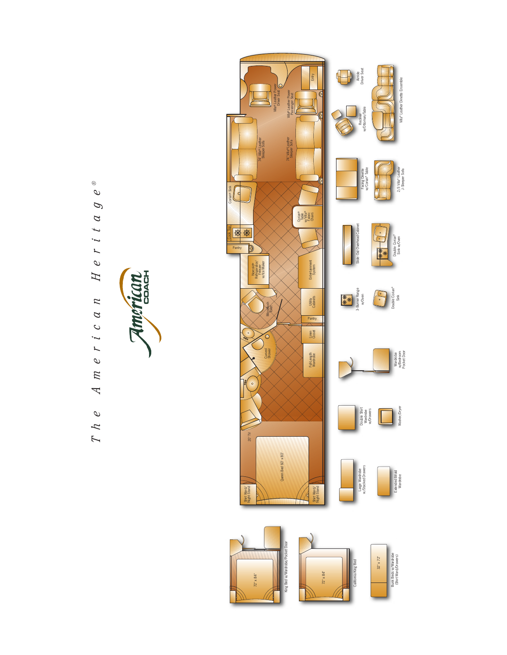$\circledcirc$ *The American Heritage ®*  $\mathcal O$  $\mathcal{D}$  $H e r i t a$  $e r i c a n$  $\overline{n}$  $\overline{\mathcal{L}}$  $\mathcal O$  $\mathcal{L}$  $\overline{\mathcal{L}}$ 

American **COACH**